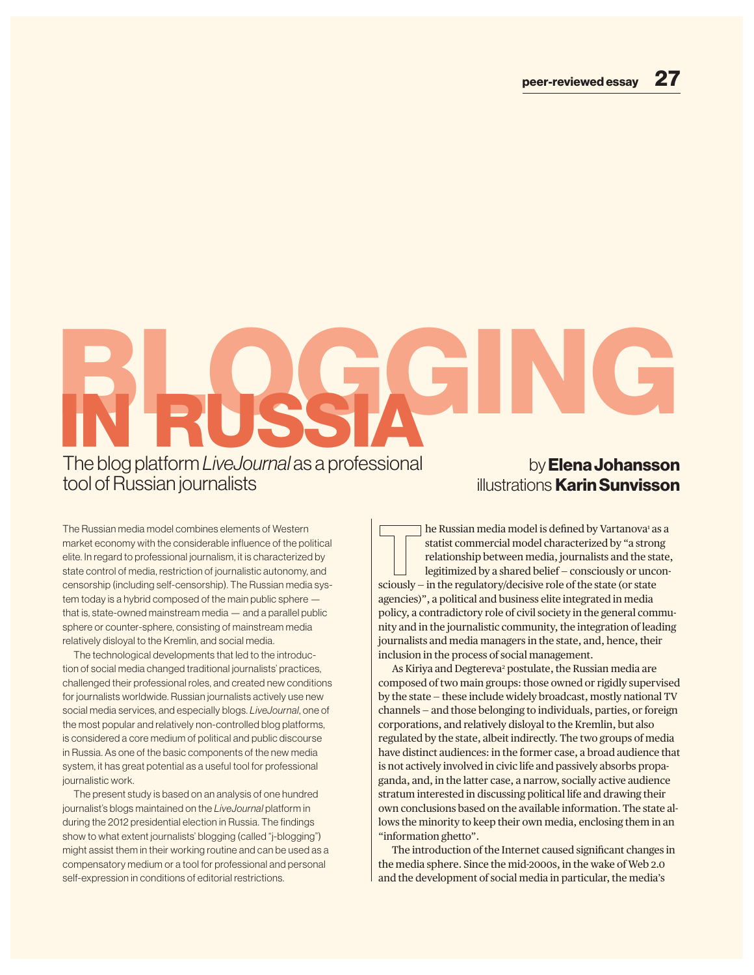# **BLOGGING** by **Elena Johansson IN RUSSIA** The blog platform LiveJournal as a professional

tool of Russian journalists

## illustrations **Karin Sunvisson**

The Russian media model combines elements of Western market economy with the considerable influence of the political elite. In regard to professional journalism, it is characterized by state control of media, restriction of journalistic autonomy, and censorship (including self-censorship). The Russian media system today is a hybrid composed of the main public sphere that is, state-owned mainstream media — and a parallel public sphere or counter-sphere, consisting of mainstream media relatively disloyal to the Kremlin, and social media.

The technological developments that led to the introduction of social media changed traditional journalists' practices, challenged their professional roles, and created new conditions for journalists worldwide. Russian journalists actively use new social media services, and especially blogs. LiveJournal, one of the most popular and relatively non-controlled blog platforms, is considered a core medium of political and public discourse in Russia. As one of the basic components of the new media system, it has great potential as a useful tool for professional journalistic work.

The present study is based on an analysis of one hundred journalist's blogs maintained on the LiveJournal platform in during the 2012 presidential election in Russia. The findings show to what extent journalists' blogging (called "j-blogging") might assist them in their working routine and can be used as a compensatory medium or a tool for professional and personal self-expression in conditions of editorial restrictions.

he Russian media model is defined by Vartanova<sup>1</sup> as a statist commercial model characterized by "a strong relationship between media, journalists and the state, legitimized by a shared belief — consciously or unconsciously — in the regulatory/decisive role of the state (or state agencies)", a political and business elite integrated in media policy, a contradictory role of civil society in the general community and in the journalistic community, the integration of leading journalists and media managers in the state, and, hence, their inclusion in the process of social management.

As Kiriya and Degtereva<sup>2</sup> postulate, the Russian media are composed of two main groups: those owned or rigidly supervised by the state — these include widely broadcast, mostly national TV channels — and those belonging to individuals, parties, or foreign corporations, and relatively disloyal to the Kremlin, but also regulated by the state, albeit indirectly. The two groups of media have distinct audiences: in the former case, a broad audience that is not actively involved in civic life and passively absorbs propaganda, and, in the latter case, a narrow, socially active audience stratum interested in discussing political life and drawing their own conclusions based on the available information. The state allows the minority to keep their own media, enclosing them in an "information ghetto".

The introduction of the Internet caused significant changes in the media sphere. Since the mid-2000s, in the wake of Web 2.0 and the development of social media in particular, the media's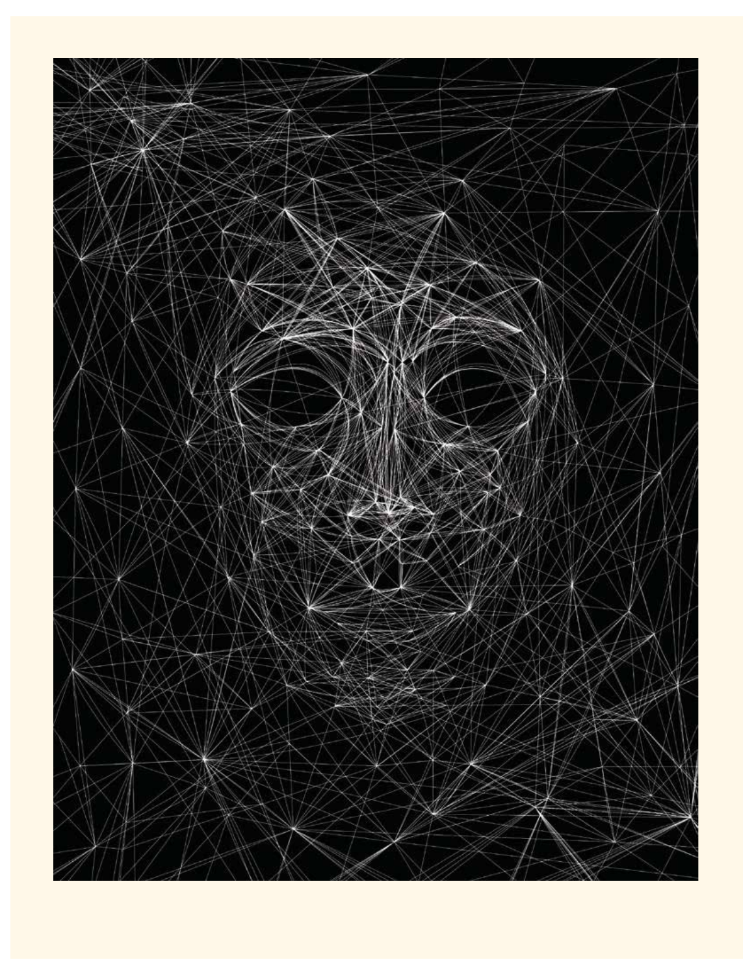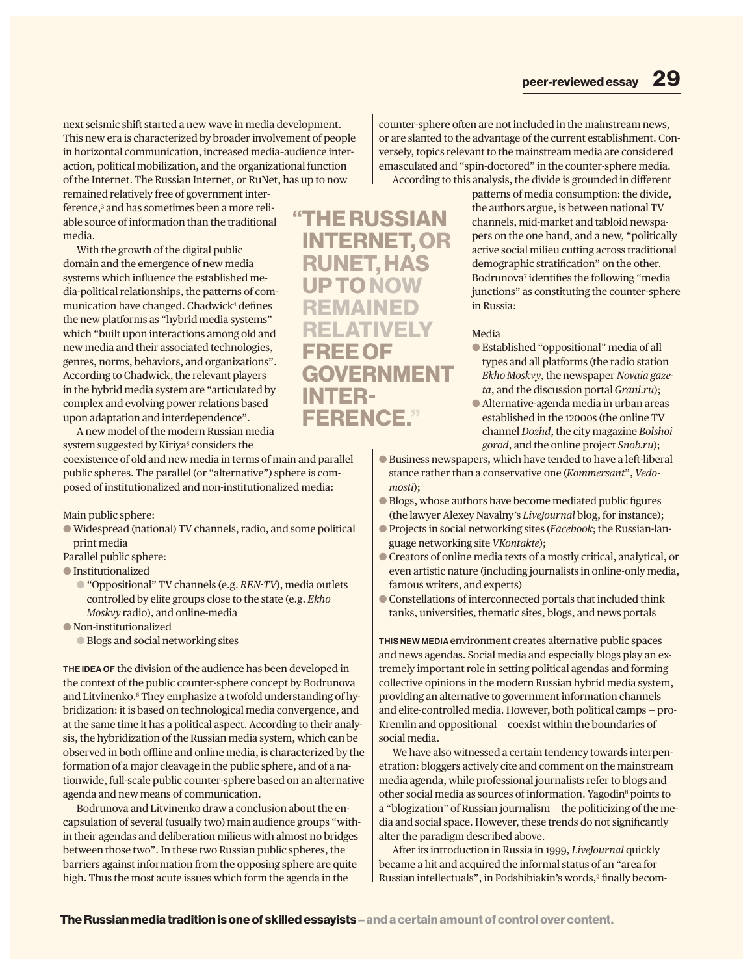next seismic shift started a new wave in media development. This new era is characterized by broader involvement of people in horizontal communication, increased media–audience interaction, political mobilization, and the organizational function of the Internet. The Russian Internet, or RuNet, has up to now

remained relatively free of government interference,3 and has sometimes been a more reliable source of information than the traditional media.

With the growth of the digital public domain and the emergence of new media systems which influence the established media-political relationships, the patterns of communication have changed. Chadwick4 defines the new platforms as "hybrid media systems" which "built upon interactions among old and new media and their associated technologies, genres, norms, behaviors, and organizations". According to Chadwick, the relevant players in the hybrid media system are "articulated by complex and evolving power relations based upon adaptation and interdependence".

A new model of the modern Russian media system suggested by Kiriya<sup>5</sup> considers the

coexistence of old and new media in terms of main and parallel public spheres. The parallel (or "alternative") sphere is composed of institutionalized and non-institutionalized media:

Main public sphere:

O Widespread (national) TV channels, radio, and some political print media

Parallel public sphere:

O Institutionalized

O "Oppositional" TV channels (e.g. *REN-TV*), media outlets controlled by elite groups close to the state (e.g. *Ekho Moskvy* radio), and online-media

O Non-institutionalized

O Blogs and social networking sites

THE IDEA OF the division of the audience has been developed in the context of the public counter-sphere concept by Bodrunova and Litvinenko.<sup>6</sup> They emphasize a twofold understanding of hybridization: it is based on technological media convergence, and at the same time it has a political aspect. According to their analysis, the hybridization of the Russian media system, which can be observed in both offline and online media, is characterized by the formation of a major cleavage in the public sphere, and of a nationwide, full-scale public counter-sphere based on an alternative agenda and new means of communication.

Bodrunova and Litvinenko draw a conclusion about the encapsulation of several (usually two) main audience groups "within their agendas and deliberation milieus with almost no bridges between those two". In these two Russian public spheres, the barriers against information from the opposing sphere are quite high. Thus the most acute issues which form the agenda in the

counter-sphere often are not included in the mainstream news, or are slanted to the advantage of the current establishment. Conversely, topics relevant to the mainstream media are considered emasculated and "spin-doctored" in the counter-sphere media. According to this analysis, the divide is grounded in different

> patterns of media consumption: the divide, the authors argue, is between national TV channels, mid-market and tabloid newspapers on the one hand, and a new, "politically active social milieu cutting across traditional demographic stratification" on the other. Bodrunova7 identifies the following "media junctions" as constituting the counter-sphere in Russia:

#### Media

- O Established "oppositional" media of all types and all platforms (the radio station *Ekho Moskvy*, the newspaper *Novaia gazeta*, and the discussion portal *Grani.ru*);
- O Alternative-agenda media in urban areas established in the 12000s (the online TV channel *Dozhd*, the city magazine *Bolshoi gorod*, and the online project *Snob.ru*);
- O Business newspapers, which have tended to have a left-liberal stance rather than a conservative one (*Kommersant*", *Vedomosti*);
- O Blogs, whose authors have become mediated public figures (the lawyer Alexey Navalny's *LiveJournal* blog, for instance);
- O Projects in social networking sites (*Facebook*; the Russian-language networking site *VKontakte*);
- O Creators of online media texts of a mostly critical, analytical, or even artistic nature (including journalists in online-only media, famous writers, and experts)
- $\bullet$  Constellations of interconnected portals that included think tanks, universities, thematic sites, blogs, and news portals

THIS NEW MEDIA environment creates alternative public spaces and news agendas. Social media and especially blogs play an extremely important role in setting political agendas and forming collective opinions in the modern Russian hybrid media system, providing an alternative to government information channels and elite-controlled media. However, both political camps — pro-Kremlin and oppositional — coexist within the boundaries of social media.

We have also witnessed a certain tendency towards interpenetration: bloggers actively cite and comment on the mainstream media agenda, while professional journalists refer to blogs and other social media as sources of information. Yagodin<sup>8</sup> points to a "blogization" of Russian journalism — the politicizing of the media and social space. However, these trends do not significantly alter the paradigm described above.

After its introduction in Russia in 1999, *LiveJournal* quickly became a hit and acquired the informal status of an "area for Russian intellectuals", in Podshibiakin's words,<sup>9</sup> finally becom-

**The Russian media tradition is one of skilled essayists – and a certain amount of control over content.**

**" THE RUSSIAN INTERNET, OR RUNET, HAS UP TO NOW REMAINED RELATIVELY FREE OF GOVERNMENT INTER-FERENCE."**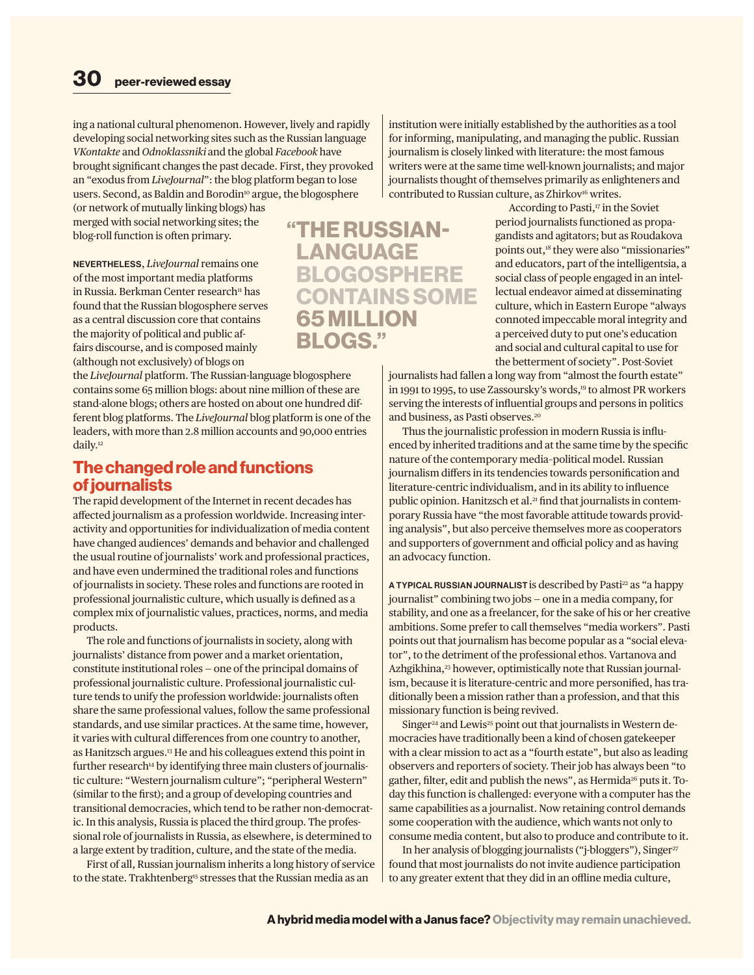ing a national cultural phenomenon. However, lively and rapidly developing social networking sites such as the Russian language *VKontakte* and *Odnoklassniki* and the global *Facebook* have brought significant changes the past decade. First, they provoked an "exodus from *LiveJournal*": the blog platform began to lose users. Second, as Baldin and Borodin<sup>10</sup> argue, the blogosphere

(or network of mutually linking blogs) has merged with social networking sites; the blog-roll function is often primary.

NEVERTHELESS, *LiveJournal* remains one of the most important media platforms in Russia. Berkman Center research<sup>11</sup> has found that the Russian blogosphere serves as a central discussion core that contains the majority of political and public affairs discourse, and is composed mainly (although not exclusively) of blogs on

the *LiveJournal* platform. The Russian-language blogosphere contains some 65 million blogs: about nine million of these are stand-alone blogs; others are hosted on about one hundred different blog platforms. The *LiveJournal* blog platform is one of the leaders, with more than 2.8 million accounts and 90,000 entries daily.12

#### **The changed role and functions of journalists**

The rapid development of the Internet in recent decades has affected journalism as a profession worldwide. Increasing interactivity and opportunities for individualization of media content have changed audiences' demands and behavior and challenged the usual routine of journalists' work and professional practices, and have even undermined the traditional roles and functions of journalists in society. These roles and functions are rooted in professional journalistic culture, which usually is defined as a complex mix of journalistic values, practices, norms, and media products.

The role and functions of journalists in society, along with journalists' distance from power and a market orientation, constitute institutional roles — one of the principal domains of professional journalistic culture. Professional journalistic culture tends to unify the profession worldwide: journalists often share the same professional values, follow the same professional standards, and use similar practices. At the same time, however, it varies with cultural differences from one country to another, as Hanitzsch argues.<sup>13</sup> He and his colleagues extend this point in further research<sup>14</sup> by identifying three main clusters of journalistic culture: "Western journalism culture"; "peripheral Western" (similar to the first); and a group of developing countries and transitional democracies, which tend to be rather non-democratic. In this analysis, Russia is placed the third group. The professional role of journalists in Russia, as elsewhere, is determined to a large extent by tradition, culture, and the state of the media.

First of all, Russian journalism inherits a long history of service to the state. Trakhtenberg<sup>15</sup> stresses that the Russian media as an

institution were initially established by the authorities as a tool for informing, manipulating, and managing the public. Russian journalism is closely linked with literature: the most famous writers were at the same time well-known journalists; and major journalists thought of themselves primarily as enlighteners and contributed to Russian culture, as Zhirkov<sup>16</sup> writes.

**"THE RUSSIAN-LANGUAGE BLOGOSPHERE CONTAINS SOME 65 MILLION BLOGS."**

According to Pasti,<sup>17</sup> in the Soviet period journalists functioned as propagandists and agitators; but as Roudakova points out,<sup>18</sup> they were also "missionaries" and educators, part of the intelligentsia, a social class of people engaged in an intellectual endeavor aimed at disseminating culture, which in Eastern Europe "always connoted impeccable moral integrity and a perceived duty to put one's education and social and cultural capital to use for the betterment of society". Post-Soviet

journalists had fallen a long way from "almost the fourth estate" in 1991 to 1995, to use Zassoursky's words,<sup>19</sup> to almost PR workers serving the interests of influential groups and persons in politics and business, as Pasti observes.20

Thus the journalistic profession in modern Russia is influenced by inherited traditions and at the same time by the specific nature of the contemporary media–political model. Russian journalism differs in its tendencies towards personification and literature-centric individualism, and in its ability to influence public opinion. Hanitzsch et al.<sup>21</sup> find that journalists in contemporary Russia have "the most favorable attitude towards providing analysis", but also perceive themselves more as cooperators and supporters of government and official policy and as having an advocacy function.

A TYPICAL RUSSIAN JOURNALIST is described by Pasti<sup>22</sup> as "a happy journalist" combining two jobs — one in a media company, for stability, and one as a freelancer, for the sake of his or her creative ambitions. Some prefer to call themselves "media workers". Pasti points out that journalism has become popular as a "social elevator", to the detriment of the professional ethos. Vartanova and Azhgikhina,<sup>23</sup> however, optimistically note that Russian journalism, because it is literature-centric and more personified, has traditionally been a mission rather than a profession, and that this missionary function is being revived.

Singer<sup>24</sup> and Lewis<sup>25</sup> point out that journalists in Western democracies have traditionally been a kind of chosen gatekeeper with a clear mission to act as a "fourth estate", but also as leading observers and reporters of society. Their job has always been "to gather, filter, edit and publish the news", as Hermida<sup>26</sup> puts it. Today this function is challenged: everyone with a computer has the same capabilities as a journalist. Now retaining control demands some cooperation with the audience, which wants not only to consume media content, but also to produce and contribute to it.

In her analysis of blogging journalists ("j-bloggers"), Singer<sup>27</sup> found that most journalists do not invite audience participation to any greater extent that they did in an offline media culture,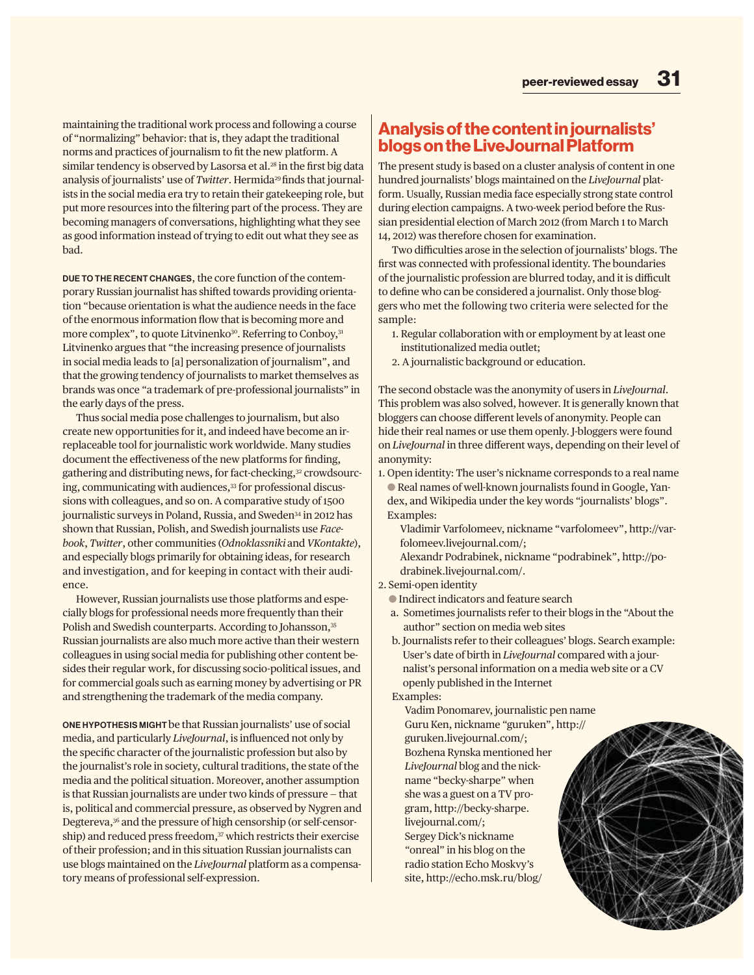maintaining the traditional work process and following a course of "normalizing" behavior: that is, they adapt the traditional norms and practices of journalism to fit the new platform. A similar tendency is observed by Lasorsa et al.<sup>28</sup> in the first big data analysis of journalists' use of *Twitter*. Hermida<sup>29</sup> finds that journalists in the social media era try to retain their gatekeeping role, but put more resources into the filtering part of the process. They are becoming managers of conversations, highlighting what they see as good information instead of trying to edit out what they see as bad.

DUE TO THE RECENT CHANGES, the core function of the contemporary Russian journalist has shifted towards providing orientation "because orientation is what the audience needs in the face of the enormous information flow that is becoming more and more complex", to quote Litvinenko<sup>30</sup>. Referring to Conboy, <sup>31</sup> Litvinenko argues that "the increasing presence of journalists in social media leads to [a] personalization of journalism", and that the growing tendency of journalists to market themselves as brands was once "a trademark of pre-professional journalists" in the early days of the press.

Thus social media pose challenges to journalism, but also create new opportunities for it, and indeed have become an irreplaceable tool for journalistic work worldwide. Many studies document the effectiveness of the new platforms for finding, gathering and distributing news, for fact-checking,<sup>32</sup> crowdsourcing, communicating with audiences,<sup>33</sup> for professional discussions with colleagues, and so on. A comparative study of 1500 journalistic surveys in Poland, Russia, and Sweden<sup>34</sup> in 2012 has shown that Russian, Polish, and Swedish journalists use *Facebook*, *Twitter*, other communities (*Odnoklassniki* and *VKontakte*), and especially blogs primarily for obtaining ideas, for research and investigation, and for keeping in contact with their audience.

However, Russian journalists use those platforms and especially blogs for professional needs more frequently than their Polish and Swedish counterparts. According to Johansson, 35 Russian journalists are also much more active than their western colleagues in using social media for publishing other content besides their regular work, for discussing socio-political issues, and for commercial goals such as earning money by advertising or PR and strengthening the trademark of the media company.

ONE HYPOTHESIS MIGHT be that Russian journalists' use of social media, and particularly *LiveJournal*, is influenced not only by the specific character of the journalistic profession but also by the journalist's role in society, cultural traditions, the state of the media and the political situation. Moreover, another assumption is that Russian journalists are under two kinds of pressure — that is, political and commercial pressure, as observed by Nygren and Degtereva,<sup>36</sup> and the pressure of high censorship (or self-censorship) and reduced press freedom,<sup>37</sup> which restricts their exercise of their profession; and in this situation Russian journalists can use blogs maintained on the *LiveJournal* platform as a compensatory means of professional self-expression.

#### **Analysis of the content in journalists' blogs on the LiveJournal Platform**

The present study is based on a cluster analysis of content in one hundred journalists' blogs maintained on the *LiveJournal* platform. Usually, Russian media face especially strong state control during election campaigns. A two-week period before the Russian presidential election of March 2012 (from March 1 to March 14, 2012) was therefore chosen for examination.

Two difficulties arose in the selection of journalists' blogs. The first was connected with professional identity. The boundaries of the journalistic profession are blurred today, and it is difficult to define who can be considered a journalist. Only those bloggers who met the following two criteria were selected for the sample:

- 1. Regular collaboration with or employment by at least one institutionalized media outlet;
- 2. A journalistic background or education.

The second obstacle was the anonymity of users in *LiveJournal*. This problem was also solved, however. It is generally known that bloggers can choose different levels of anonymity. People can hide their real names or use them openly. J-bloggers were found on *LiveJournal* in three different ways, depending on their level of anonymity:

1. Open identity: The user's nickname corresponds to a real name O Real names of well-known journalists found in Google, Yandex, and Wikipedia under the key words "journalists' blogs". Examples:

Vladimir Varfolomeev, nickname "varfolomeev", http://varfolomeev.livejournal.com/;

Alexandr Podrabinek, nickname "podrabinek", http://podrabinek.livejournal.com/.

- 2. Semi-open identity
	- O Indirect indicators and feature search
	- a. Sometimes journalists refer to their blogs in the "About the author" section on media web sites
	- b. Journalists refer to their colleagues' blogs. Search example: User's date of birth in *LiveJournal* compared with a journalist's personal information on a media web site or a CV openly published in the Internet

#### Examples:

Vadim Ponomarev, journalistic pen name

Guru Ken, nickname "guruken", http:// guruken.livejournal.com/; Bozhena Rynska mentioned her *LiveJournal* blog and the nickname "becky-sharpe" when she was a guest on a TV program, http://becky-sharpe. livejournal.com/; Sergey Dick's nickname "onreal" in his blog on the radio station Echo Moskvy's site, http://echo.msk.ru/blog/

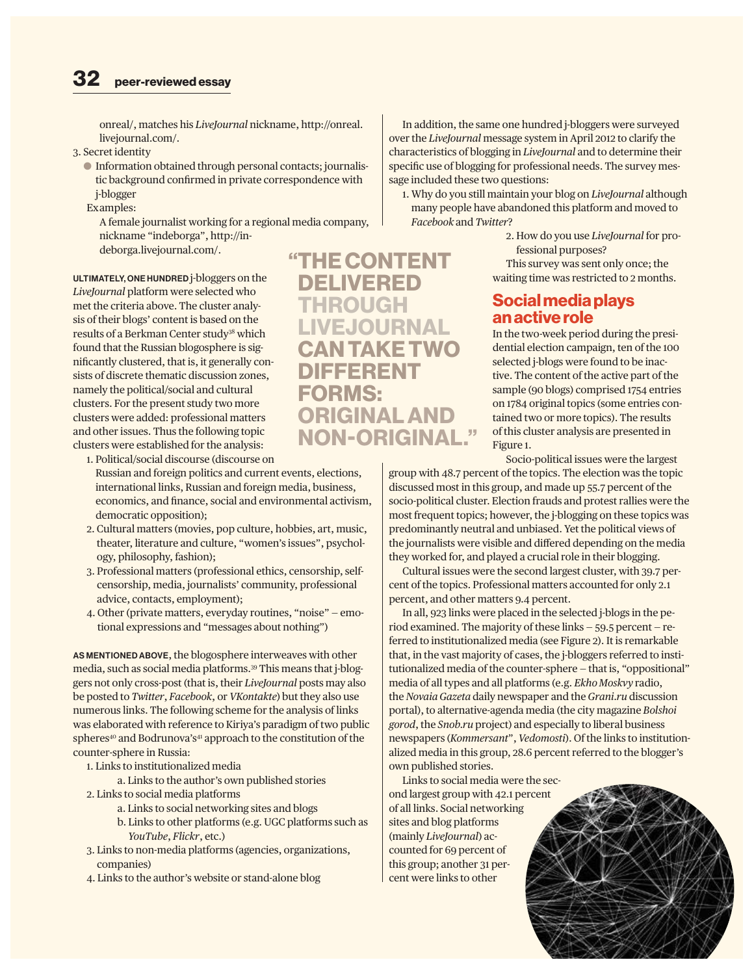onreal/, matches his *LiveJournal* nickname, http://onreal. livejournal.com/.

3. Secret identity

O Information obtained through personal contacts; journalistic background confirmed in private correspondence with j-blogger

Examples:

A female journalist working for a regional media company, nickname "indeborga", http://in-

> **" THE CONTENT DELIVERED THROUGH**

**LIVEJOURNAL CAN TAKE TWO** 

**ORIGINAL AND NON-ORIGINAL."**

**DIFFERENT** 

**FORMS:** 

deborga.livejournal.com/.

ULTIMATELY, ONE HUNDRED j-bloggers on the *LiveJournal* platform were selected who met the criteria above. The cluster analysis of their blogs' content is based on the results of a Berkman Center study<sup>38</sup> which found that the Russian blogosphere is significantly clustered, that is, it generally consists of discrete thematic discussion zones, namely the political/social and cultural clusters. For the present study two more clusters were added: professional matters and other issues. Thus the following topic clusters were established for the analysis:

1. Political/social discourse (discourse on

- Russian and foreign politics and current events, elections, international links, Russian and foreign media, business, economics, and finance, social and environmental activism, democratic opposition);
- 2. Cultural matters (movies, pop culture, hobbies, art, music, theater, literature and culture, "women's issues", psychology, philosophy, fashion);
- 3. Professional matters (professional ethics, censorship, selfcensorship, media, journalists' community, professional advice, contacts, employment);
- 4. Other (private matters, everyday routines, "noise" emotional expressions and "messages about nothing")

AS MENTIONED ABOVE, the blogosphere interweaves with other media, such as social media platforms.39 This means that j-bloggers not only cross-post (that is, their *LiveJournal* posts may also be posted to *Twitter*, *Facebook*, or *VKontakte*) but they also use numerous links. The following scheme for the analysis of links was elaborated with reference to Kiriya's paradigm of two public spheres<sup>40</sup> and Bodrunova's<sup>41</sup> approach to the constitution of the counter-sphere in Russia:

1. Links to institutionalized media

a. Links to the author's own published stories

- 2. Links to social media platforms
	- a. Links to social networking sites and blogs
	- b. Links to other platforms (e.g. UGC platforms such as *YouTube*, *Flickr*, etc.)
- 3. Links to non-media platforms (agencies, organizations, companies)
- 4. Links to the author's website or stand-alone blog

In addition, the same one hundred j-bloggers were surveyed over the *LiveJournal* message system in April 2012 to clarify the characteristics of blogging in *LiveJournal* and to determine their specific use of blogging for professional needs. The survey message included these two questions:

1. Why do you still maintain your blog on *LiveJournal* although many people have abandoned this platform and moved to *Facebook* and *Twitter*?

> 2. How do you use *LiveJournal* for professional purposes?

This survey was sent only once; the waiting time was restricted to 2 months.

#### **Social media plays an active role**

In the two-week period during the presidential election campaign, ten of the 100 selected j-blogs were found to be inactive. The content of the active part of the sample (90 blogs) comprised 1754 entries on 1784 original topics (some entries contained two or more topics). The results of this cluster analysis are presented in Figure 1.

Socio-political issues were the largest

group with 48.7 percent of the topics. The election was the topic discussed most in this group, and made up 55.7 percent of the socio-political cluster. Election frauds and protest rallies were the most frequent topics; however, the j-blogging on these topics was predominantly neutral and unbiased. Yet the political views of the journalists were visible and differed depending on the media they worked for, and played a crucial role in their blogging.

Cultural issues were the second largest cluster, with 39.7 percent of the topics. Professional matters accounted for only 2.1 percent, and other matters 9.4 percent.

In all, 923 links were placed in the selected j-blogs in the period examined. The majority of these links — 59.5 percent — referred to institutionalized media (see Figure 2). It is remarkable that, in the vast majority of cases, the j-bloggers referred to institutionalized media of the counter-sphere — that is, "oppositional" media of all types and all platforms (e.g. *Ekho Moskvy* radio, the *Novaia Gazeta* daily newspaper and the *Grani.ru* discussion portal), to alternative-agenda media (the city magazine *Bolshoi gorod*, the *Snob.ru* project) and especially to liberal business newspapers (*Kommersant*", *Vedomosti*). Of the links to institutionalized media in this group, 28.6 percent referred to the blogger's own published stories.

Links to social media were the second largest group with 42.1 percent of all links. Social networking sites and blog platforms (mainly *LiveJournal*) accounted for 69 percent of this group; another 31 percent were links to other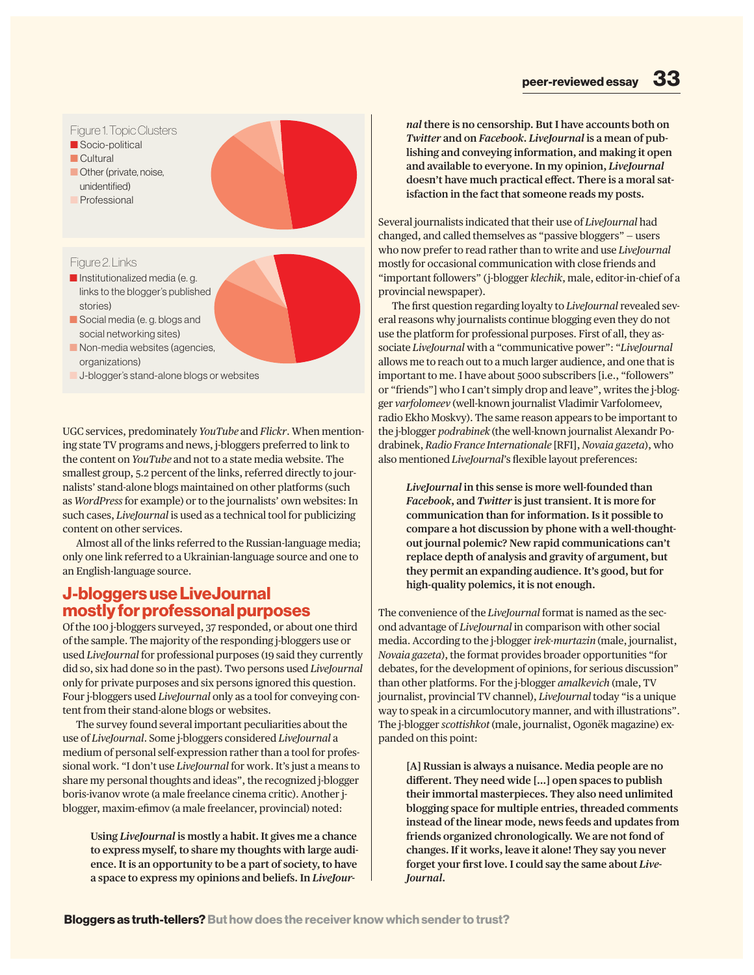- Figure 1. Topic Clusters<br>■ Socio-political
- $\blacksquare$  Cultural
- **Other (private, noise,** unidentified)
- Professional

- $\blacksquare$  Institutionalized media (e.g. links to the blogger's published stories)
- Social media (e. g. blogs and social networking sites)
- $\blacksquare$  Non-media websites (agencies, organizations)
- Q J-blogger's stand-alone blogs or websites

UGC services, predominately *YouTube* and *Flickr*. When mentioning state TV programs and news, j-bloggers preferred to link to the content on *YouTube* and not to a state media website. The smallest group, 5.2 percent of the links, referred directly to journalists' stand-alone blogs maintained on other platforms (such as *WordPress* for example) or to the journalists' own websites: In such cases, *LiveJournal* is used as a technical tool for publicizing content on other services.

Almost all of the links referred to the Russian-language media; only one link referred to a Ukrainian-language source and one to an English-language source.

### **J-bloggers use LiveJournal mostly for professonal purposes**

Of the 100 j-bloggers surveyed, 37 responded, or about one third of the sample. The majority of the responding j-bloggers use or used *LiveJournal* for professional purposes (19 said they currently did so, six had done so in the past). Two persons used *LiveJournal* only for private purposes and six persons ignored this question. Four j-bloggers used *LiveJournal* only as a tool for conveying content from their stand-alone blogs or websites.

The survey found several important peculiarities about the use of *LiveJournal*. Some j-bloggers considered *LiveJournal* a medium of personal self-expression rather than a tool for professional work. "I don't use *LiveJournal* for work. It's just a means to share my personal thoughts and ideas", the recognized j-blogger boris-ivanov wrote (a male freelance cinema critic). Another jblogger, maxim-efimov (a male freelancer, provincial) noted:

**Using** *LiveJournal* **is mostly a habit. It gives me a chance to express myself, to share my thoughts with large audience. It is an opportunity to be a part of society, to have a space to express my opinions and beliefs. In** *LiveJour-* *nal* **there is no censorship. But I have accounts both on**  *Twitter* **and on** *Facebook***.** *LiveJournal* **is a mean of publishing and conveying information, and making it open and available to everyone. In my opinion,** *LiveJournal* **doesn't have much practical effect. There is a moral satisfaction in the fact that someone reads my posts.**

Several journalists indicated that their use of *LiveJournal* had changed, and called themselves as "passive bloggers" — users who now prefer to read rather than to write and use *LiveJournal* mostly for occasional communication with close friends and "important followers" (j-blogger *klechik*, male, editor-in-chief of a provincial newspaper).

The first question regarding loyalty to *LiveJournal* revealed several reasons why journalists continue blogging even they do not use the platform for professional purposes. First of all, they associate *LiveJournal* with a "communicative power": "*LiveJournal* allows me to reach out to a much larger audience, and one that is important to me. I have about 5000 subscribers [i.e., "followers" or "friends"] who I can't simply drop and leave", writes the j-blogger *varfolomeev* (well-known journalist Vladimir Varfolomeev, radio Ekho Moskvy). The same reason appears to be important to the j-blogger *podrabinek* (the well-known journalist Alexandr Podrabinek, *Radio France Internationale* [RFI], *Novaia gazeta*), who also mentioned *LiveJournal*'s flexible layout preferences:

*LiveJournal* **in this sense is more well-founded than**  *Facebook***, and** *Twitter* **is just transient. It is more for communication than for information. Is it possible to compare a hot discussion by phone with a well-thoughtout journal polemic? New rapid communications can't replace depth of analysis and gravity of argument, but they permit an expanding audience. It's good, but for high-quality polemics, it is not enough.**

The convenience of the *LiveJournal* format is named as the second advantage of *LiveJournal* in comparison with other social media. According to the j-blogger *irek-murtazin* (male, journalist, *Novaia gazeta*), the format provides broader opportunities "for debates, for the development of opinions, for serious discussion" than other platforms. For the j-blogger *amalkevich* (male, TV journalist, provincial TV channel), *LiveJournal* today "is a unique way to speak in a circumlocutory manner, and with illustrations". The j-blogger *scottishkot* (male, journalist, Ogonëk magazine) expanded on this point:

**[A] Russian is always a nuisance. Media people are no different. They need wide […] open spaces to publish their immortal masterpieces. They also need unlimited blogging space for multiple entries, threaded comments instead of the linear mode, news feeds and updates from friends organized chronologically. We are not fond of changes. If it works, leave it alone! They say you never forget your first love. I could say the same about** *Live-Journal***.**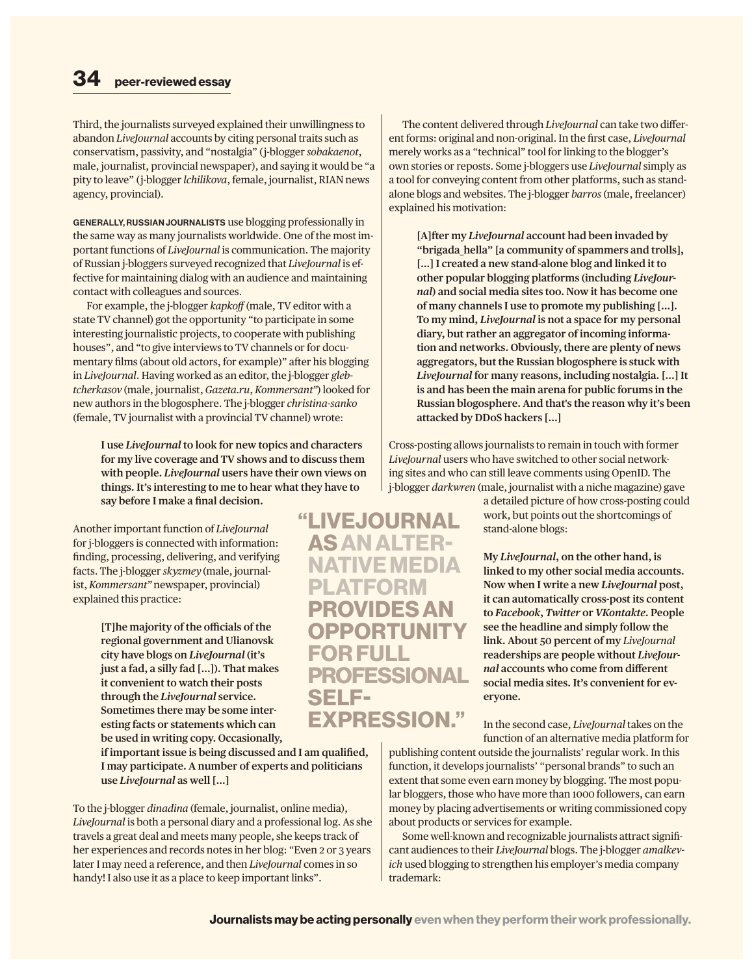Third, the journalists surveyed explained their unwillingness to abandon *LiveJournal* accounts by citing personal traits such as conservatism, passivity, and "nostalgia" (j-blogger *sobakaenot*, male, journalist, provincial newspaper), and saying it would be "a pity to leave" (j-blogger *lchilikova*, female, journalist, RIAN news agency, provincial).

GENERALLY, RUSSIAN JOURNALISTS use blogging professionally in the same way as many journalists worldwide. One of the most important functions of *LiveJournal* is communication. The majority of Russian j-bloggers surveyed recognized that *LiveJournal* is effective for maintaining dialog with an audience and maintaining contact with colleagues and sources.

For example, the j-blogger *kapkoff* (male, TV editor with a state TV channel) got the opportunity "to participate in some interesting journalistic projects, to cooperate with publishing houses", and "to give interviews to TV channels or for documentary films (about old actors, for example)" after his blogging in *LiveJournal*. Having worked as an editor, the j-blogger *glebtcherkasov* (male, journalist, *Gazeta.ru*, *Kommersant"*) looked for new authors in the blogosphere. The j-blogger *christina-sanko* (female, TV journalist with a provincial TV channel) wrote:

**I use** *LiveJournal* **to look for new topics and characters for my live coverage and TV shows and to discuss them with people.** *LiveJournal* **users have their own views on things. It's interesting to me to hear what they have to say before I make a final decision.**

Another important function of *LiveJournal* for j-bloggers is connected with information: finding, processing, delivering, and verifying facts. The j-blogger *skyzmey* (male, journalist, *Kommersant"* newspaper, provincial) explained this practice:

> **[T]he majority of the officials of the regional government and Ulianovsk city have blogs on** *LiveJournal* **(it's just a fad, a silly fad […]). That makes it convenient to watch their posts through the** *LiveJournal* **service. Sometimes there may be some interesting facts or statements which can be used in writing copy. Occasionally,**

**if important issue is being discussed and I am qualified, I may participate. A number of experts and politicians use** *LiveJournal* **as well […]**

To the j-blogger *dinadina* (female, journalist, online media), *LiveJournal* is both a personal diary and a professional log. As she travels a great deal and meets many people, she keeps track of her experiences and records notes in her blog: "Even 2 or 3 years later I may need a reference, and then *LiveJournal* comes in so handy! I also use it as a place to keep important links".

The content delivered through *LiveJournal* can take two different forms: original and non-original. In the first case, *LiveJournal* merely works as a "technical" tool for linking to the blogger's own stories or reposts. Some j-bloggers use *LiveJournal* simply as a tool for conveying content from other platforms, such as standalone blogs and websites. The j-blogger *barros* (male, freelancer) explained his motivation:

**[A]fter my** *LiveJournal* **account had been invaded by "brigada\_hella" [a community of spammers and trolls], […] I created a new stand-alone blog and linked it to other popular blogging platforms (including** *LiveJournal***) and social media sites too. Now it has become one of many channels I use to promote my publishing […]. To my mind,** *LiveJournal* **is not a space for my personal diary, but rather an aggregator of incoming information and networks. Obviously, there are plenty of news aggregators, but the Russian blogosphere is stuck with**  *LiveJournal* **for many reasons, including nostalgia. […] It is and has been the main arena for public forums in the Russian blogosphere. And that's the reason why it's been attacked by DDoS hackers […]**

Cross-posting allows journalists to remain in touch with former *LiveJournal* users who have switched to other social networking sites and who can still leave comments using OpenID. The j-blogger *darkwren* (male, journalist with a niche magazine) gave

> a detailed picture of how cross-posting could work, but points out the shortcomings of stand-alone blogs:

**My** *LiveJournal***, on the other hand, is linked to my other social media accounts. Now when I write a new** *LiveJournal* **post, it can automatically cross-post its content to** *Facebook***,** *Twitter* **or** *VKontakte***. People see the headline and simply follow the link. About 50 percent of my** *LiveJournal* **readerships are people without** *LiveJournal* **accounts who come from different social media sites. It's convenient for everyone.**

In the second case, *LiveJournal* takes on the function of an alternative media platform for

publishing content outside the journalists' regular work. In this function, it develops journalists' "personal brands" to such an extent that some even earn money by blogging. The most popular bloggers, those who have more than 1000 followers, can earn money by placing advertisements or writing commissioned copy about products or services for example.

Some well-known and recognizable journalists attract significant audiences to their *LiveJournal* blogs. The j-blogger *amalkevich* used blogging to strengthen his employer's media company trademark:

**" LIVEJOURNAL AS AN ALTER-NATIVE MEDIA PLATFORM PROVIDES AN OPPORTUNITY FOR FULL PROFESSIONAL SELF-EXPRESSION."**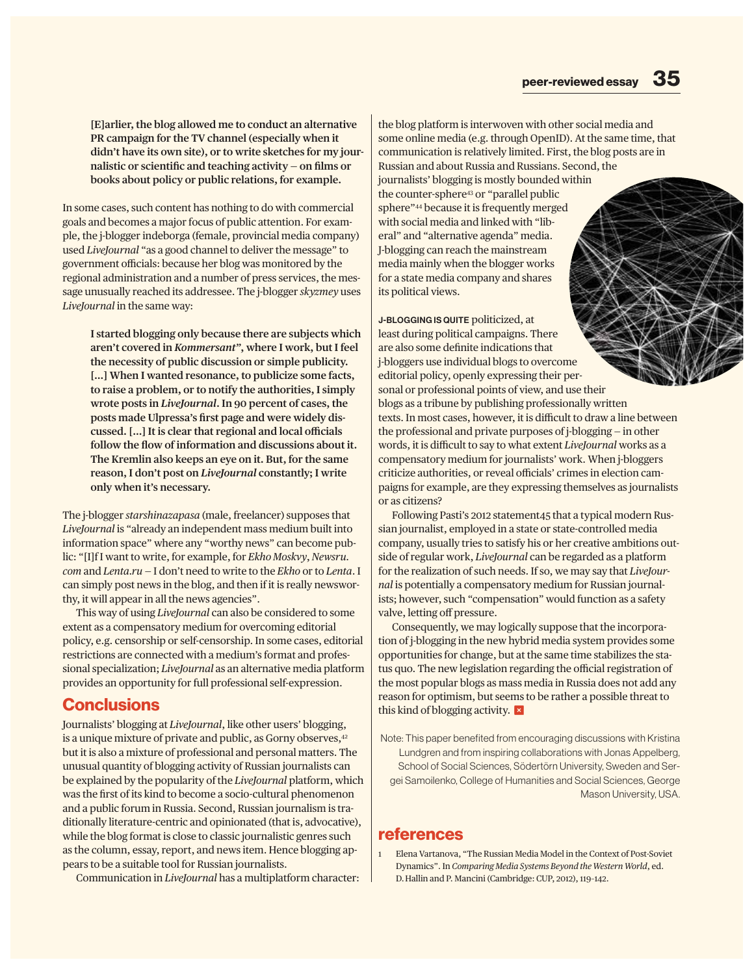**[E]arlier, the blog allowed me to conduct an alternative PR campaign for the TV channel (especially when it didn't have its own site), or to write sketches for my journalistic or scientific and teaching activity — on films or books about policy or public relations, for example.**

In some cases, such content has nothing to do with commercial goals and becomes a major focus of public attention. For example, the j-blogger indeborga (female, provincial media company) used *LiveJournal* "as a good channel to deliver the message" to government officials: because her blog was monitored by the regional administration and a number of press services, the message unusually reached its addressee. The j-blogger *skyzmey* uses *LiveJournal* in the same way:

**I started blogging only because there are subjects which aren't covered in** *Kommersant"***, where I work, but I feel the necessity of public discussion or simple publicity. […] When I wanted resonance, to publicize some facts, to raise a problem, or to notify the authorities, I simply wrote posts in** *LiveJournal***. In 90 percent of cases, the posts made Ulpressa's first page and were widely discussed. […] It is clear that regional and local officials follow the flow of information and discussions about it. The Kremlin also keeps an eye on it. But, for the same reason, I don't post on** *LiveJournal* **constantly; I write only when it's necessary.**

The j-blogger *starshinazapasa* (male, freelancer) supposes that *LiveJournal* is "already an independent mass medium built into information space" where any "worthy news" can become public: "[I]f I want to write, for example, for *Ekho Moskvy*, *Newsru. com* and *Lenta.ru* — I don't need to write to the *Ekho* or to *Lenta*. I can simply post news in the blog, and then if it is really newsworthy, it will appear in all the news agencies".

This way of using *LiveJournal* can also be considered to some extent as a compensatory medium for overcoming editorial policy, e.g. censorship or self-censorship. In some cases, editorial restrictions are connected with a medium's format and professional specialization; *LiveJournal* as an alternative media platform provides an opportunity for full professional self-expression.

#### **Conclusions**

Journalists' blogging at *LiveJournal*, like other users' blogging, is a unique mixture of private and public, as Gorny observes, <sup>42</sup> but it is also a mixture of professional and personal matters. The unusual quantity of blogging activity of Russian journalists can be explained by the popularity of the *LiveJournal* platform, which was the first of its kind to become a socio-cultural phenomenon and a public forum in Russia. Second, Russian journalism is traditionally literature-centric and opinionated (that is, advocative), while the blog format is close to classic journalistic genres such as the column, essay, report, and news item. Hence blogging appears to be a suitable tool for Russian journalists.

Communication in *LiveJournal* has a multiplatform character:

the blog platform is interwoven with other social media and some online media (e.g. through OpenID). At the same time, that communication is relatively limited. First, the blog posts are in Russian and about Russia and Russians. Second, the

journalists' blogging is mostly bounded within the counter-sphere<sup>43</sup> or "parallel public sphere"44 because it is frequently merged with social media and linked with "liberal" and "alternative agenda" media. J-blogging can reach the mainstream media mainly when the blogger works for a state media company and shares its political views.

J-BLOGGING IS QUITE politicized, at least during political campaigns. There are also some definite indications that j-bloggers use individual blogs to overcome editorial policy, openly expressing their personal or professional points of view, and use their blogs as a tribune by publishing professionally written texts. In most cases, however, it is difficult to draw a line between the professional and private purposes of j-blogging — in other words, it is difficult to say to what extent *LiveJournal* works as a compensatory medium for journalists' work. When j-bloggers criticize authorities, or reveal officials' crimes in election campaigns for example, are they expressing themselves as journalists or as citizens?

Following Pasti's 2012 statement45 that a typical modern Russian journalist, employed in a state or state-controlled media company, usually tries to satisfy his or her creative ambitions outside of regular work, *LiveJournal* can be regarded as a platform for the realization of such needs. If so, we may say that *LiveJournal* is potentially a compensatory medium for Russian journalists; however, such "compensation" would function as a safety valve, letting off pressure.

Consequently, we may logically suppose that the incorporation of j-blogging in the new hybrid media system provides some opportunities for change, but at the same time stabilizes the status quo. The new legislation regarding the official registration of the most popular blogs as mass media in Russia does not add any reason for optimism, but seems to be rather a possible threat to this kind of blogging activity. ≈

Note: This paper benefited from encouraging discussions with Kristina Lundgren and from inspiring collaborations with Jonas Appelberg, School of Social Sciences, Södertörn University, Sweden and Sergei Samoilenko, College of Humanities and Social Sciences, George Mason University, USA.

#### **references**

1 Elena Vartanova, "The Russian Media Model in the Context of Post-Soviet Dynamics". In *Comparing Media Systems Beyond the Western World*, ed. D. Hallin and P. Mancini (Cambridge: CUP, 2012), 119–142.